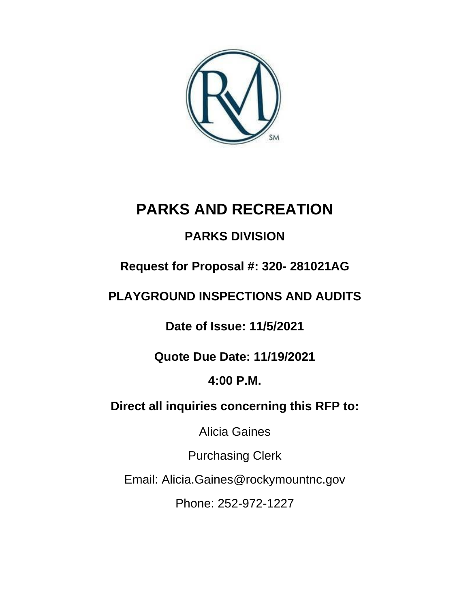

# **PARKS AND RECREATION**

# **PARKS DIVISION**

# **Request for Proposal #: 320- 281021AG**

# **PLAYGROUND INSPECTIONS AND AUDITS**

**Date of Issue: 11/5/2021**

# **Quote Due Date: 11/19/2021**

# **4:00 P.M.**

# **Direct all inquiries concerning this RFP to:**

Alicia Gaines

Purchasing Clerk

Email: Alicia.Gaines@rockymountnc.gov

Phone: 252-972-1227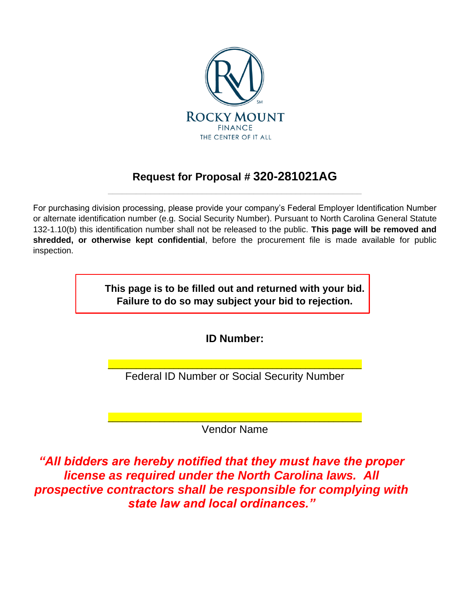

## **Request for Proposal # 320-281021AG** \_\_\_\_\_\_\_\_\_\_\_\_\_\_\_\_\_\_\_\_\_\_\_\_\_\_\_\_\_\_\_\_\_\_\_\_\_\_\_\_\_\_\_\_\_\_\_\_\_\_\_\_\_\_

For purchasing division processing, please provide your company's Federal Employer Identification Number or alternate identification number (e.g. Social Security Number). Pursuant to North Carolina General Statute 132-1.10(b) this identification number shall not be released to the public. **This page will be removed and shredded, or otherwise kept confidential**, before the procurement file is made available for public inspection.

> **This page is to be filled out and returned with your bid. Failure to do so may subject your bid to rejection.**

> > **ID Number:**

\_\_\_\_\_\_\_\_\_\_\_\_\_\_\_\_\_\_\_\_\_\_\_\_\_\_\_\_\_\_\_\_\_\_\_\_\_\_\_\_\_\_\_\_\_\_\_\_\_\_\_\_\_\_ Federal ID Number or Social Security Number

\_\_\_\_\_\_\_\_\_\_\_\_\_\_\_\_\_\_\_\_\_\_\_\_\_\_\_\_\_\_\_\_\_\_\_\_\_\_\_\_\_\_\_\_\_\_\_\_\_\_\_\_\_\_ Vendor Name

*"All bidders are hereby notified that they must have the proper license as required under the North Carolina laws. All prospective contractors shall be responsible for complying with state law and local ordinances."*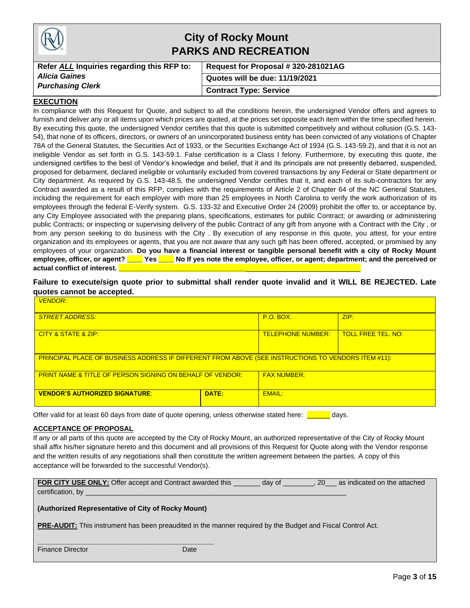|                                            | <b>City of Rocky Mount</b><br><b>PARKS AND RECREATION</b> |
|--------------------------------------------|-----------------------------------------------------------|
| Refer ALL Inquiries regarding this RFP to: | Request for Proposal #320-281021AG                        |
| <b>Alicia Gaines</b>                       | Quotes will be due: 11/19/2021                            |
| <b>Purchasing Clerk</b>                    | <b>Contract Type: Service</b>                             |

#### **EXECUTION**

In compliance with this Request for Quote, and subject to all the conditions herein, the undersigned Vendor offers and agrees to furnish and deliver any or all items upon which prices are quoted, at the prices set opposite each item within the time specified herein. By executing this quote, the undersigned Vendor certifies that this quote is submitted competitively and without collusion (G.S. 143- 54), that none of its officers, directors, or owners of an unincorporated business entity has been convicted of any violations of Chapter 78A of the General Statutes, the Securities Act of 1933, or the Securities Exchange Act of 1934 (G.S. 143-59.2), and that it is not an ineligible Vendor as set forth in G.S. 143-59.1. False certification is a Class I felony. Furthermore, by executing this quote, the undersigned certifies to the best of Vendor's knowledge and belief, that it and its principals are not presently debarred, suspended, proposed for debarment, declared ineligible or voluntarily excluded from covered transactions by any Federal or State department or City department. As required by G.S. 143-48.5, the undersigned Vendor certifies that it, and each of its sub-contractors for any Contract awarded as a result of this RFP, complies with the requirements of Article 2 of Chapter 64 of the NC General Statutes, including the requirement for each employer with more than 25 employees in North Carolina to verify the work authorization of its employees through the federal E-Verify system. G.S. 133-32 and Executive Order 24 (2009) prohibit the offer to, or acceptance by, any City Employee associated with the preparing plans, specifications, estimates for public Contract; or awarding or administering public Contracts; or inspecting or supervising delivery of the public Contract of any gift from anyone with a Contract with the City , or from any person seeking to do business with the City . By execution of any response in this quote, you attest, for your entire organization and its employees or agents, that you are not aware that any such gift has been offered, accepted, or promised by any employees of your organization. **Do you have a financial interest or tangible personal benefit with a city of Rocky Mount employee, officer, or agent? \_\_\_\_ Yes \_\_\_\_ No If yes note the employee, officer, or agent; department; and the perceived or actual conflict of interest.** 

**Failure to execute/sign quote prior to submittal shall render quote invalid and it WILL BE REJECTED. Late quotes cannot be accepted.**

| <b>VENDOR:</b>                                                                                      |                                                       |               |  |  |  |  |  |
|-----------------------------------------------------------------------------------------------------|-------------------------------------------------------|---------------|--|--|--|--|--|
| <b>STREET ADDRESS:</b>                                                                              | ZIP:<br>$P.O.$ BOX:                                   |               |  |  |  |  |  |
| <b>CITY &amp; STATE &amp; ZIP:</b>                                                                  | <b>TOLL FREE TEL, NO:</b><br><b>TELEPHONE NUMBER:</b> |               |  |  |  |  |  |
| PRINCIPAL PLACE OF BUSINESS ADDRESS IF DIFFERENT FROM ABOVE (SEE INSTRUCTIONS TO VENDORS ITEM #11): |                                                       |               |  |  |  |  |  |
| <b>PRINT NAME &amp; TITLE OF PERSON SIGNING ON BEHALF OF VENDOR:</b>                                | <b>FAX NUMBER:</b>                                    |               |  |  |  |  |  |
| <b>VENDOR'S AUTHORIZED SIGNATURE:</b>                                                               | DATE:                                                 | <b>EMAIL:</b> |  |  |  |  |  |

Offer valid for at least 60 days from date of quote opening, unless otherwise stated here: **The analyse** 

#### **ACCEPTANCE OF PROPOSAL**

If any or all parts of this quote are accepted by the City of Rocky Mount, an authorized representative of the City of Rocky Mount shall affix his/her signature hereto and this document and all provisions of this Request for Quote along with the Vendor response and the written results of any negotiations shall then constitute the written agreement between the parties. A copy of this acceptance will be forwarded to the successful Vendor(s).

| <b>FOR CITY USE ONLY:</b> Offer accept and Contract awarded this | day of | <sup>20</sup> | as indicated on the attached |
|------------------------------------------------------------------|--------|---------------|------------------------------|
| certification, by                                                |        |               |                              |

#### **(Authorized Representative of City of Rocky Mount)**

**\_\_\_\_\_\_\_\_\_\_\_\_\_\_\_\_\_\_\_\_\_\_\_\_\_\_\_\_\_\_\_\_\_\_\_\_\_\_\_\_\_\_\_\_\_\_**

**PRE-AUDIT:** This instrument has been preaudited in the manner required by the Budget and Fiscal Control Act.

Finance Director **Date** Date Date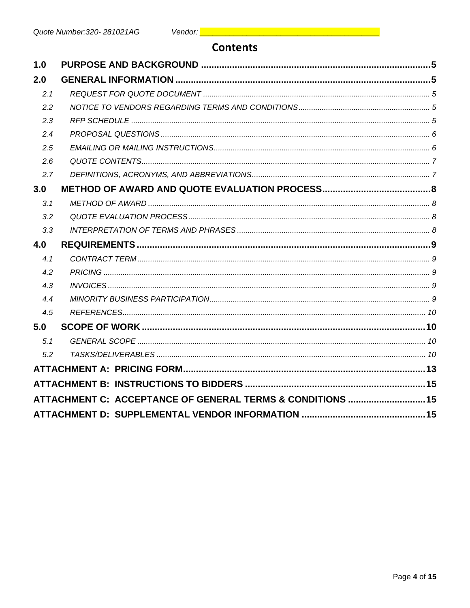## **Contents**

| 1.0 |                                                            |  |
|-----|------------------------------------------------------------|--|
| 2.0 |                                                            |  |
| 2.1 |                                                            |  |
| 2.2 |                                                            |  |
| 2.3 |                                                            |  |
| 2.4 |                                                            |  |
| 2.5 |                                                            |  |
| 2.6 |                                                            |  |
| 2.7 |                                                            |  |
| 3.0 |                                                            |  |
| 3.1 |                                                            |  |
| 3.2 |                                                            |  |
| 3.3 |                                                            |  |
| 4.0 |                                                            |  |
| 4.1 |                                                            |  |
| 4.2 |                                                            |  |
| 4.3 |                                                            |  |
| 4.4 |                                                            |  |
| 4.5 |                                                            |  |
| 5.0 |                                                            |  |
| 5.1 |                                                            |  |
| 5.2 |                                                            |  |
|     |                                                            |  |
|     |                                                            |  |
|     | ATTACHMENT C: ACCEPTANCE OF GENERAL TERMS & CONDITIONS  15 |  |
|     |                                                            |  |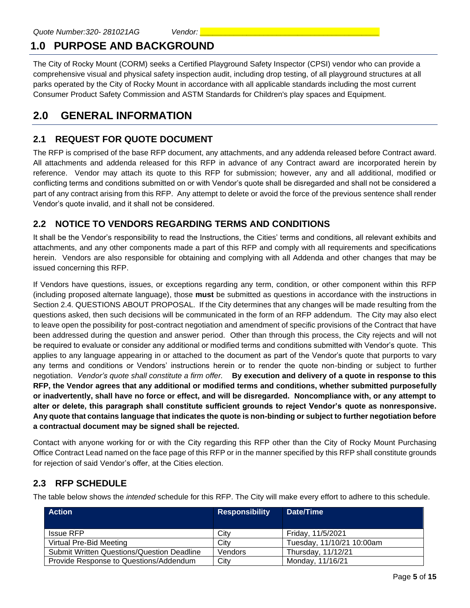# **1.0 PURPOSE AND BACKGROUND**

The City of Rocky Mount (CORM) seeks a Certified Playground Safety Inspector (CPSI) vendor who can provide a comprehensive visual and physical safety inspection audit, including drop testing, of all playground structures at all parks operated by the City of Rocky Mount in accordance with all applicable standards including the most current Consumer Product Safety Commission and ASTM Standards for Children's play spaces and Equipment.

## **2.0 GENERAL INFORMATION**

## **2.1 REQUEST FOR QUOTE DOCUMENT**

The RFP is comprised of the base RFP document, any attachments, and any addenda released before Contract award. All attachments and addenda released for this RFP in advance of any Contract award are incorporated herein by reference. Vendor may attach its quote to this RFP for submission; however, any and all additional, modified or conflicting terms and conditions submitted on or with Vendor's quote shall be disregarded and shall not be considered a part of any contract arising from this RFP. Any attempt to delete or avoid the force of the previous sentence shall render Vendor's quote invalid, and it shall not be considered.

## **2.2 NOTICE TO VENDORS REGARDING TERMS AND CONDITIONS**

It shall be the Vendor's responsibility to read the Instructions, the Cities' terms and conditions, all relevant exhibits and attachments, and any other components made a part of this RFP and comply with all requirements and specifications herein. Vendors are also responsible for obtaining and complying with all Addenda and other changes that may be issued concerning this RFP.

If Vendors have questions, issues, or exceptions regarding any term, condition, or other component within this RFP (including proposed alternate language), those **must** be submitted as questions in accordance with the instructions in Section 2.4. QUESTIONS ABOUT PROPOSAL. If the City determines that any changes will be made resulting from the questions asked, then such decisions will be communicated in the form of an RFP addendum. The City may also elect to leave open the possibility for post-contract negotiation and amendment of specific provisions of the Contract that have been addressed during the question and answer period. Other than through this process, the City rejects and will not be required to evaluate or consider any additional or modified terms and conditions submitted with Vendor's quote. This applies to any language appearing in or attached to the document as part of the Vendor's quote that purports to vary any terms and conditions or Vendors' instructions herein or to render the quote non-binding or subject to further negotiation. *Vendor's quote shall constitute a firm offer.* **By execution and delivery of a quote in response to this RFP, the Vendor agrees that any additional or modified terms and conditions, whether submitted purposefully or inadvertently, shall have no force or effect, and will be disregarded. Noncompliance with, or any attempt to alter or delete, this paragraph shall constitute sufficient grounds to reject Vendor's quote as nonresponsive. Any quote that contains language that indicates the quote is non-binding or subject to further negotiation before a contractual document may be signed shall be rejected.**

Contact with anyone working for or with the City regarding this RFP other than the City of Rocky Mount Purchasing Office Contract Lead named on the face page of this RFP or in the manner specified by this RFP shall constitute grounds for rejection of said Vendor's offer, at the Cities election.

### **2.3 RFP SCHEDULE**

The table below shows the *intended* schedule for this RFP. The City will make every effort to adhere to this schedule.

| <b>Action</b>                                     | <b>Responsibility</b> | Date/Time                 |
|---------------------------------------------------|-----------------------|---------------------------|
| <b>Issue RFP</b>                                  | City                  | Friday, 11/5/2021         |
| Virtual Pre-Bid Meeting                           | City                  | Tuesday, 11/10/21 10:00am |
| <b>Submit Written Questions/Question Deadline</b> | Vendors               | Thursday, 11/12/21        |
| Provide Response to Questions/Addendum            | City                  | Monday, 11/16/21          |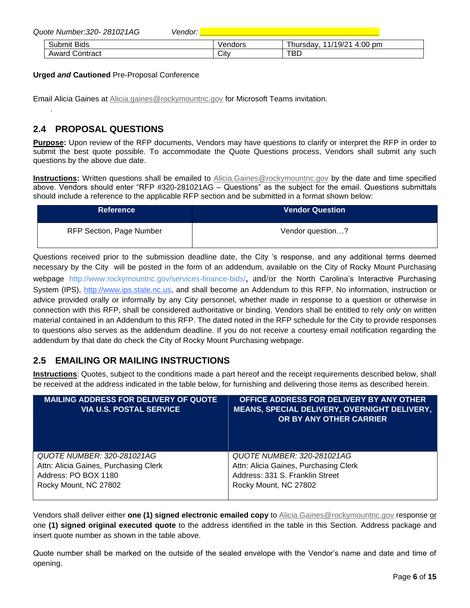| Quote Number: 320 - 281021AG | <i>Vendor:</i> |         |                              |
|------------------------------|----------------|---------|------------------------------|
| Submit Bids                  |                | Vendors | 11/19/21 4:00 pm<br>Thursdav |
| <b>Award Contract</b>        |                | City    | TBD                          |

#### **Urged** *and* **Cautioned** Pre-Proposal Conference

Email Alicia Gaines at [Alicia.gaines@rockymountnc.gov](mailto:Alicia.gaines@rockymountnc.gov) for Microsoft Teams invitation.

#### **2.4 PROPOSAL QUESTIONS**

.

**Purpose:** Upon review of the RFP documents, Vendors may have questions to clarify or interpret the RFP in order to submit the best quote possible. To accommodate the Quote Questions process, Vendors shall submit any such questions by the above due date.

**Instructions:** Written questions shall be emailed to [Alicia.Gaines@rockymountnc.gov](mailto:debra.harris@rockymountnc.gov) by the date and time specified above. Vendors should enter "RFP #320-281021AG – Questions" as the subject for the email. Questions submittals should include a reference to the applicable RFP section and be submitted in a format shown below:

| Reference                       | <b>Vendor Question</b> |
|---------------------------------|------------------------|
| <b>RFP Section, Page Number</b> | Vendor question?       |

Questions received prior to the submission deadline date, the City 's response, and any additional terms deemed necessary by the City will be posted in the form of an addendum, available on the City of Rocky Mount Purchasing webpage http://www.rockymountnc.gov/services-finance-bids/, and/or the North Carolina's Interactive Purchasing System (IPS), [http://www.ips.state.nc.us,](http://www.ips.state.nc.us/) and shall become an Addendum to this RFP. No information, instruction or advice provided orally or informally by any City personnel, whether made in response to a question or otherwise in connection with this RFP, shall be considered authoritative or binding. Vendors shall be entitled to rely *only* on written material contained in an Addendum to this RFP. The dated noted in the RFP schedule for the City to provide responses to questions also serves as the addendum deadline. If you do not receive a courtesy email notification regarding the addendum by that date do check the City of Rocky Mount Purchasing webpage.

#### **2.5 EMAILING OR MAILING INSTRUCTIONS**

**Instructions**: Quotes, subject to the conditions made a part hereof and the receipt requirements described below, shall be received at the address indicated in the table below, for furnishing and delivering those items as described herein.

| <b>MAILING ADDRESS FOR DELIVERY OF QUOTE</b><br><b>VIA U.S. POSTAL SERVICE</b>                                       | OFFICE ADDRESS FOR DELIVERY BY ANY OTHER<br><b>MEANS, SPECIAL DELIVERY, OVERNIGHT DELIVERY,</b><br>OR BY ANY OTHER CARRIER      |
|----------------------------------------------------------------------------------------------------------------------|---------------------------------------------------------------------------------------------------------------------------------|
| QUOTE NUMBER: 320-281021AG<br>Attn: Alicia Gaines, Purchasing Clerk<br>Address: PO BOX 1180<br>Rocky Mount, NC 27802 | QUOTE NUMBER: 320-281021AG<br>Attn: Alicia Gaines, Purchasing Clerk<br>Address: 331 S. Franklin Street<br>Rocky Mount, NC 27802 |
|                                                                                                                      |                                                                                                                                 |

Vendors shall deliver either **one (1) signed electronic emailed copy** t[o Alicia.Gaines@rockymountnc.gov](mailto:debra.harris@rockymountnc.gov) response or one **(1) signed original executed quote** to the address identified in the table in this Section. Address package and insert quote number as shown in the table above.

Quote number shall be marked on the outside of the sealed envelope with the Vendor's name and date and time of opening.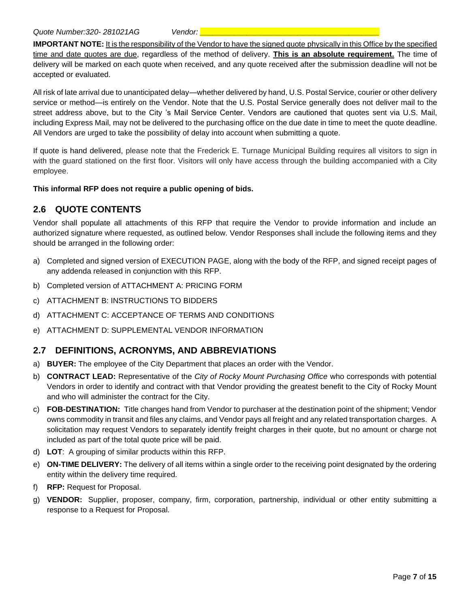**IMPORTANT NOTE:** It is the responsibility of the Vendor to have the signed quote physically in this Office by the specified time and date quotes are due, regardless of the method of delivery. **This is an absolute requirement.** The time of delivery will be marked on each quote when received, and any quote received after the submission deadline will not be accepted or evaluated.

All risk of late arrival due to unanticipated delay—whether delivered by hand, U.S. Postal Service, courier or other delivery service or method—is entirely on the Vendor. Note that the U.S. Postal Service generally does not deliver mail to the street address above, but to the City 's Mail Service Center. Vendors are cautioned that quotes sent via U.S. Mail, including Express Mail, may not be delivered to the purchasing office on the due date in time to meet the quote deadline. All Vendors are urged to take the possibility of delay into account when submitting a quote.

If quote is hand delivered, please note that the Frederick E. Turnage Municipal Building requires all visitors to sign in with the guard stationed on the first floor. Visitors will only have access through the building accompanied with a City employee.

#### **This informal RFP does not require a public opening of bids.**

### **2.6 QUOTE CONTENTS**

Vendor shall populate all attachments of this RFP that require the Vendor to provide information and include an authorized signature where requested, as outlined below. Vendor Responses shall include the following items and they should be arranged in the following order:

- a) Completed and signed version of EXECUTION PAGE, along with the body of the RFP, and signed receipt pages of any addenda released in conjunction with this RFP.
- b) Completed version of ATTACHMENT A: PRICING FORM
- c) ATTACHMENT B: INSTRUCTIONS TO BIDDERS
- d) ATTACHMENT C: ACCEPTANCE OF TERMS AND CONDITIONS
- e) ATTACHMENT D: SUPPLEMENTAL VENDOR INFORMATION

### **2.7 DEFINITIONS, ACRONYMS, AND ABBREVIATIONS**

- a) **BUYER:** The employee of the City Department that places an order with the Vendor.
- b) **CONTRACT LEAD:** Representative of the *City of Rocky Mount Purchasing Office* who corresponds with potential Vendors in order to identify and contract with that Vendor providing the greatest benefit to the City of Rocky Mount and who will administer the contract for the City.
- c) **FOB-DESTINATION:** Title changes hand from Vendor to purchaser at the destination point of the shipment; Vendor owns commodity in transit and files any claims, and Vendor pays all freight and any related transportation charges. A solicitation may request Vendors to separately identify freight charges in their quote, but no amount or charge not included as part of the total quote price will be paid.
- d) **LOT**: A grouping of similar products within this RFP.
- e) **ON-TIME DELIVERY:** The delivery of all items within a single order to the receiving point designated by the ordering entity within the delivery time required.
- f) **RFP:** Request for Proposal.
- g) **VENDOR:** Supplier, proposer, company, firm, corporation, partnership, individual or other entity submitting a response to a Request for Proposal.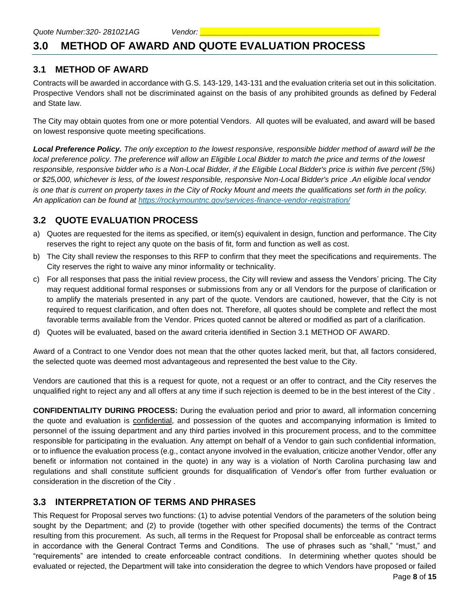## **3.0 METHOD OF AWARD AND QUOTE EVALUATION PROCESS**

#### **3.1 METHOD OF AWARD**

Contracts will be awarded in accordance with G.S. 143-129, 143-131 and the evaluation criteria set out in this solicitation. Prospective Vendors shall not be discriminated against on the basis of any prohibited grounds as defined by Federal and State law.

The City may obtain quotes from one or more potential Vendors. All quotes will be evaluated, and award will be based on lowest responsive quote meeting specifications.

*Local Preference Policy. The only exception to the lowest responsive, responsible bidder method of award will be the local preference policy. The preference will allow an Eligible Local Bidder to match the price and terms of the lowest responsible, responsive bidder who is a Non-Local Bidder, if the Eligible Local Bidder's price is within five percent (5%) or \$25,000, whichever is less, of the lowest responsible, responsive Non-Local Bidder's price .An eligible local vendor is one that is current on property taxes in the City of Rocky Mount and meets the qualifications set forth in the policy. An application can be found at<https://rockymountnc.gov/services-finance-vendor-registration/>*

### **3.2 QUOTE EVALUATION PROCESS**

- a) Quotes are requested for the items as specified, or item(s) equivalent in design, function and performance. The City reserves the right to reject any quote on the basis of fit, form and function as well as cost.
- b) The City shall review the responses to this RFP to confirm that they meet the specifications and requirements. The City reserves the right to waive any minor informality or technicality.
- c) For all responses that pass the initial review process, the City will review and assess the Vendors' pricing. The City may request additional formal responses or submissions from any or all Vendors for the purpose of clarification or to amplify the materials presented in any part of the quote. Vendors are cautioned, however, that the City is not required to request clarification, and often does not. Therefore, all quotes should be complete and reflect the most favorable terms available from the Vendor. Prices quoted cannot be altered or modified as part of a clarification.
- d) Quotes will be evaluated, based on the award criteria identified in Section 3.1 METHOD OF AWARD.

Award of a Contract to one Vendor does not mean that the other quotes lacked merit, but that, all factors considered, the selected quote was deemed most advantageous and represented the best value to the City.

Vendors are cautioned that this is a request for quote, not a request or an offer to contract, and the City reserves the unqualified right to reject any and all offers at any time if such rejection is deemed to be in the best interest of the City .

**CONFIDENTIALITY DURING PROCESS:** During the evaluation period and prior to award, all information concerning the quote and evaluation is confidential, and possession of the quotes and accompanying information is limited to personnel of the issuing department and any third parties involved in this procurement process, and to the committee responsible for participating in the evaluation. Any attempt on behalf of a Vendor to gain such confidential information, or to influence the evaluation process (e.g., contact anyone involved in the evaluation, criticize another Vendor, offer any benefit or information not contained in the quote) in any way is a violation of North Carolina purchasing law and regulations and shall constitute sufficient grounds for disqualification of Vendor's offer from further evaluation or consideration in the discretion of the City .

#### **3.3 INTERPRETATION OF TERMS AND PHRASES**

This Request for Proposal serves two functions: (1) to advise potential Vendors of the parameters of the solution being sought by the Department; and (2) to provide (together with other specified documents) the terms of the Contract resulting from this procurement. As such, all terms in the Request for Proposal shall be enforceable as contract terms in accordance with the General Contract Terms and Conditions. The use of phrases such as "shall," "must," and "requirements" are intended to create enforceable contract conditions. In determining whether quotes should be evaluated or rejected, the Department will take into consideration the degree to which Vendors have proposed or failed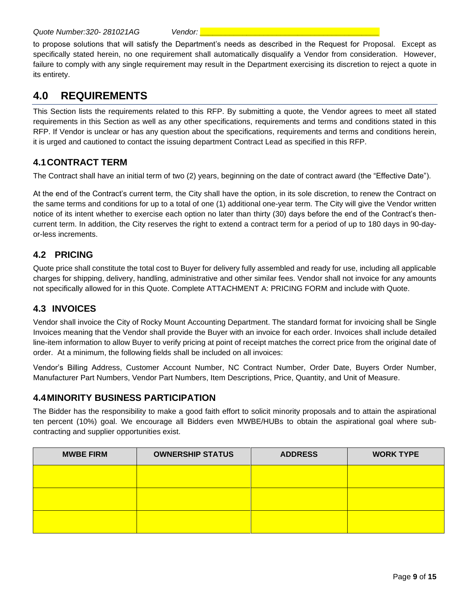*Quote Number:320- 281021AG Vendor: \_\_\_\_\_\_\_\_\_\_\_\_\_\_\_\_\_\_\_\_\_\_\_\_\_\_\_\_\_\_\_\_\_\_\_\_\_\_\_\_\_\_*

to propose solutions that will satisfy the Department's needs as described in the Request for Proposal. Except as specifically stated herein, no one requirement shall automatically disqualify a Vendor from consideration. However, failure to comply with any single requirement may result in the Department exercising its discretion to reject a quote in its entirety.

# **4.0 REQUIREMENTS**

This Section lists the requirements related to this RFP. By submitting a quote, the Vendor agrees to meet all stated requirements in this Section as well as any other specifications, requirements and terms and conditions stated in this RFP. If Vendor is unclear or has any question about the specifications, requirements and terms and conditions herein, it is urged and cautioned to contact the issuing department Contract Lead as specified in this RFP.

## **4.1CONTRACT TERM**

The Contract shall have an initial term of two (2) years, beginning on the date of contract award (the "Effective Date").

At the end of the Contract's current term, the City shall have the option, in its sole discretion, to renew the Contract on the same terms and conditions for up to a total of one (1) additional one-year term. The City will give the Vendor written notice of its intent whether to exercise each option no later than thirty (30) days before the end of the Contract's thencurrent term. In addition, the City reserves the right to extend a contract term for a period of up to 180 days in 90-dayor-less increments.

## **4.2 PRICING**

Quote price shall constitute the total cost to Buyer for delivery fully assembled and ready for use, including all applicable charges for shipping, delivery, handling, administrative and other similar fees. Vendor shall not invoice for any amounts not specifically allowed for in this Quote. Complete ATTACHMENT A: PRICING FORM and include with Quote.

## **4.3 INVOICES**

Vendor shall invoice the City of Rocky Mount Accounting Department. The standard format for invoicing shall be Single Invoices meaning that the Vendor shall provide the Buyer with an invoice for each order. Invoices shall include detailed line-item information to allow Buyer to verify pricing at point of receipt matches the correct price from the original date of order. At a minimum, the following fields shall be included on all invoices:

Vendor's Billing Address, Customer Account Number, NC Contract Number, Order Date, Buyers Order Number, Manufacturer Part Numbers, Vendor Part Numbers, Item Descriptions, Price, Quantity, and Unit of Measure.

### **4.4MINORITY BUSINESS PARTICIPATION**

The Bidder has the responsibility to make a good faith effort to solicit minority proposals and to attain the aspirational ten percent (10%) goal. We encourage all Bidders even MWBE/HUBs to obtain the aspirational goal where subcontracting and supplier opportunities exist.

| <b>MWBE FIRM</b> | <b>OWNERSHIP STATUS</b> | <b>ADDRESS</b> | <b>WORK TYPE</b> |
|------------------|-------------------------|----------------|------------------|
|                  |                         |                |                  |
|                  |                         |                |                  |
|                  |                         |                |                  |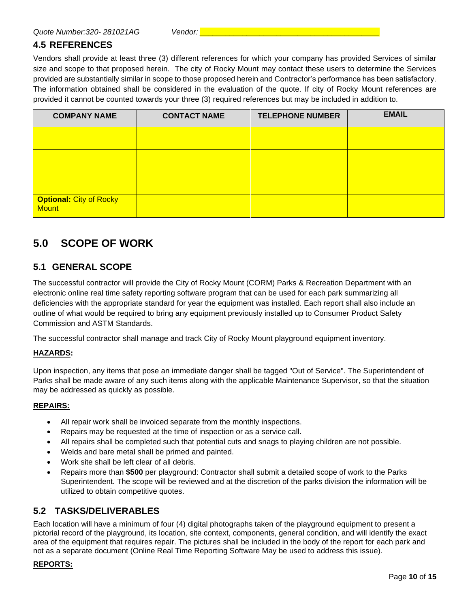### **4.5 REFERENCES**

Vendors shall provide at least three (3) different references for which your company has provided Services of similar size and scope to that proposed herein. The city of Rocky Mount may contact these users to determine the Services provided are substantially similar in scope to those proposed herein and Contractor's performance has been satisfactory. The information obtained shall be considered in the evaluation of the quote. If city of Rocky Mount references are provided it cannot be counted towards your three (3) required references but may be included in addition to.

| <b>COMPANY NAME</b>                            | <b>CONTACT NAME</b> | <b>TELEPHONE NUMBER</b> | <b>EMAIL</b> |
|------------------------------------------------|---------------------|-------------------------|--------------|
|                                                |                     |                         |              |
|                                                |                     |                         |              |
|                                                |                     |                         |              |
| <b>Optional: City of Rocky</b><br><b>Mount</b> |                     |                         |              |

## **5.0 SCOPE OF WORK**

#### **5.1 GENERAL SCOPE**

The successful contractor will provide the City of Rocky Mount (CORM) Parks & Recreation Department with an electronic online real time safety reporting software program that can be used for each park summarizing all deficiencies with the appropriate standard for year the equipment was installed. Each report shall also include an outline of what would be required to bring any equipment previously installed up to Consumer Product Safety Commission and ASTM Standards.

The successful contractor shall manage and track City of Rocky Mount playground equipment inventory.

#### **HAZARDS:**

Upon inspection, any items that pose an immediate danger shall be tagged "Out of Service". The Superintendent of Parks shall be made aware of any such items along with the applicable Maintenance Supervisor, so that the situation may be addressed as quickly as possible.

#### **REPAIRS:**

- All repair work shall be invoiced separate from the monthly inspections.
- Repairs may be requested at the time of inspection or as a service call.
- All repairs shall be completed such that potential cuts and snags to playing children are not possible.
- Welds and bare metal shall be primed and painted.
- Work site shall be left clear of all debris.
- Repairs more than **\$500** per playground: Contractor shall submit a detailed scope of work to the Parks Superintendent. The scope will be reviewed and at the discretion of the parks division the information will be utilized to obtain competitive quotes.

#### **5.2 TASKS/DELIVERABLES**

Each location will have a minimum of four (4) digital photographs taken of the playground equipment to present a pictorial record of the playground, its location, site context, components, general condition, and will identify the exact area of the equipment that requires repair. The pictures shall be included in the body of the report for each park and not as a separate document (Online Real Time Reporting Software May be used to address this issue).

#### **REPORTS:**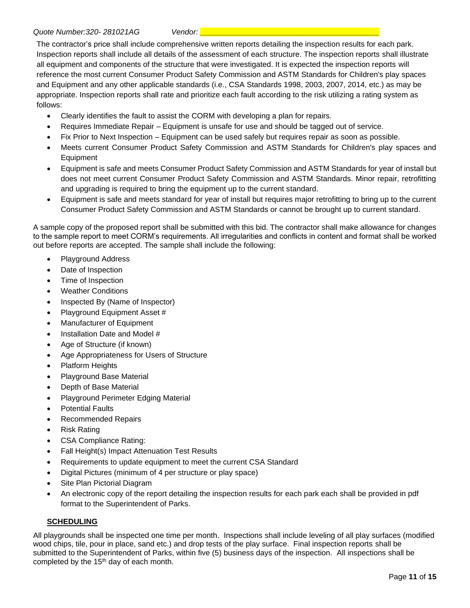The contractor's price shall include comprehensive written reports detailing the inspection results for each park. Inspection reports shall include all details of the assessment of each structure. The inspection reports shall illustrate all equipment and components of the structure that were investigated. It is expected the inspection reports will reference the most current Consumer Product Safety Commission and ASTM Standards for Children's play spaces and Equipment and any other applicable standards (i.e., CSA Standards 1998, 2003, 2007, 2014, etc.) as may be appropriate. Inspection reports shall rate and prioritize each fault according to the risk utilizing a rating system as follows:

- Clearly identifies the fault to assist the CORM with developing a plan for repairs.
- Requires Immediate Repair Equipment is unsafe for use and should be tagged out of service.
- Fix Prior to Next Inspection Equipment can be used safely but requires repair as soon as possible.
- Meets current Consumer Product Safety Commission and ASTM Standards for Children's play spaces and Equipment
- Equipment is safe and meets Consumer Product Safety Commission and ASTM Standards for year of install but does not meet current Consumer Product Safety Commission and ASTM Standards. Minor repair, retrofitting and upgrading is required to bring the equipment up to the current standard.
- Equipment is safe and meets standard for year of install but requires major retrofitting to bring up to the current Consumer Product Safety Commission and ASTM Standards or cannot be brought up to current standard.

A sample copy of the proposed report shall be submitted with this bid. The contractor shall make allowance for changes to the sample report to meet CORM's requirements. All irregularities and conflicts in content and format shall be worked out before reports are accepted. The sample shall include the following:

- Playground Address
- Date of Inspection
- Time of Inspection
- Weather Conditions
- Inspected By (Name of Inspector)
- Playground Equipment Asset #
- Manufacturer of Equipment
- Installation Date and Model #
- Age of Structure (if known)
- Age Appropriateness for Users of Structure
- Platform Heights
- Playground Base Material
- Depth of Base Material
- Playground Perimeter Edging Material
- Potential Faults
- Recommended Repairs
- Risk Rating
- CSA Compliance Rating:
- Fall Height(s) Impact Attenuation Test Results
- Requirements to update equipment to meet the current CSA Standard
- Digital Pictures (minimum of 4 per structure or play space)
- Site Plan Pictorial Diagram
- An electronic copy of the report detailing the inspection results for each park each shall be provided in pdf format to the Superintendent of Parks.

#### **SCHEDULING**

All playgrounds shall be inspected one time per month. Inspections shall include leveling of all play surfaces (modified wood chips, tile, pour in place, sand etc.) and drop tests of the play surface. Final inspection reports shall be submitted to the Superintendent of Parks, within five (5) business days of the inspection. All inspections shall be completed by the 15<sup>th</sup> day of each month.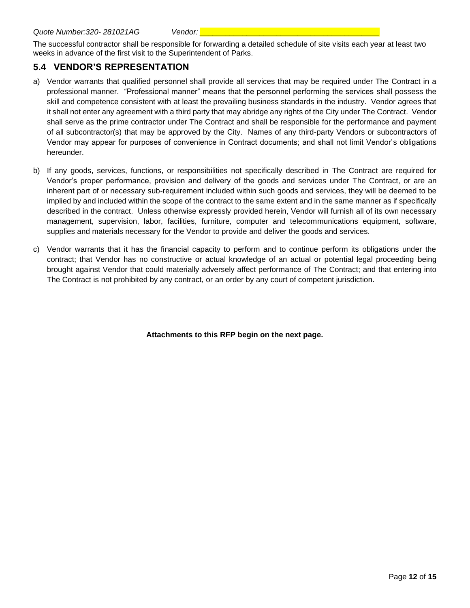The successful contractor shall be responsible for forwarding a detailed schedule of site visits each year at least two weeks in advance of the first visit to the Superintendent of Parks.

### **5.4 VENDOR'S REPRESENTATION**

- a) Vendor warrants that qualified personnel shall provide all services that may be required under The Contract in a professional manner. "Professional manner" means that the personnel performing the services shall possess the skill and competence consistent with at least the prevailing business standards in the industry. Vendor agrees that it shall not enter any agreement with a third party that may abridge any rights of the City under The Contract. Vendor shall serve as the prime contractor under The Contract and shall be responsible for the performance and payment of all subcontractor(s) that may be approved by the City. Names of any third-party Vendors or subcontractors of Vendor may appear for purposes of convenience in Contract documents; and shall not limit Vendor's obligations hereunder.
- b) If any goods, services, functions, or responsibilities not specifically described in The Contract are required for Vendor's proper performance, provision and delivery of the goods and services under The Contract, or are an inherent part of or necessary sub-requirement included within such goods and services, they will be deemed to be implied by and included within the scope of the contract to the same extent and in the same manner as if specifically described in the contract. Unless otherwise expressly provided herein, Vendor will furnish all of its own necessary management, supervision, labor, facilities, furniture, computer and telecommunications equipment, software, supplies and materials necessary for the Vendor to provide and deliver the goods and services.
- c) Vendor warrants that it has the financial capacity to perform and to continue perform its obligations under the contract; that Vendor has no constructive or actual knowledge of an actual or potential legal proceeding being brought against Vendor that could materially adversely affect performance of The Contract; and that entering into The Contract is not prohibited by any contract, or an order by any court of competent jurisdiction.

**Attachments to this RFP begin on the next page.**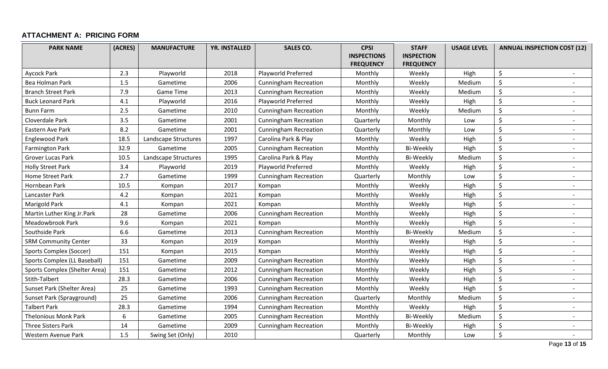## **ATTACHMENT A: PRICING FORM**

| <b>PARK NAME</b>              | (ACRES) | <b>MANUFACTURE</b>   | <b>YR. INSTALLED</b> | <b>SALES CO.</b>             | <b>CPSI</b><br><b>INSPECTIONS</b> | <b>STAFF</b><br><b>INSPECTION</b> | <b>USAGE LEVEL</b> | <b>ANNUAL INSPECTION COST (12)</b>  |
|-------------------------------|---------|----------------------|----------------------|------------------------------|-----------------------------------|-----------------------------------|--------------------|-------------------------------------|
|                               |         |                      |                      |                              | <b>FREQUENCY</b>                  | <b>FREQUENCY</b>                  |                    |                                     |
| <b>Aycock Park</b>            | 2.3     | Playworld            | 2018                 | Playworld Preferred          | Monthly                           | Weekly                            | High               | \$                                  |
| Bea Holman Park               | 1.5     | Gametime             | 2006                 | <b>Cunningham Recreation</b> | Monthly                           | Weekly                            | Medium             | \$                                  |
| <b>Branch Street Park</b>     | 7.9     | <b>Game Time</b>     | 2013                 | <b>Cunningham Recreation</b> | Monthly                           | Weekly                            | Medium             | \$                                  |
| <b>Buck Leonard Park</b>      | 4.1     | Playworld            | 2016                 | Playworld Preferred          | Monthly                           | Weekly                            | High               | \$                                  |
| <b>Bunn Farm</b>              | 2.5     | Gametime             | 2010                 | <b>Cunningham Recreation</b> | Monthly                           | Weekly                            | Medium             | \$<br>$\overline{\phantom{a}}$      |
| Cloverdale Park               | 3.5     | Gametime             | 2001                 | <b>Cunningham Recreation</b> | Quarterly                         | Monthly                           | Low                | \$                                  |
| Eastern Ave Park              | 8.2     | Gametime             | 2001                 | <b>Cunningham Recreation</b> | Quarterly                         | Monthly                           | Low                | \$                                  |
| Englewood Park                | 18.5    | Landscape Structures | 1997                 | Carolina Park & Play         | Monthly                           | Weekly                            | High               | \$<br>$\sim$                        |
| <b>Farmington Park</b>        | 32.9    | Gametime             | 2005                 | <b>Cunningham Recreation</b> | Monthly                           | <b>Bi-Weekly</b>                  | High               | \$                                  |
| Grover Lucas Park             | 10.5    | Landscape Structures | 1995                 | Carolina Park & Play         | Monthly                           | Bi-Weekly                         | Medium             | \$                                  |
| <b>Holly Street Park</b>      | 3.4     | Playworld            | 2019                 | Playworld Preferred          | Monthly                           | Weekly                            | High               | \$<br>$\overline{\phantom{a}}$      |
| <b>Home Street Park</b>       | 2.7     | Gametime             | 1999                 | <b>Cunningham Recreation</b> | Quarterly                         | Monthly                           | Low                | \$                                  |
| Hornbean Park                 | 10.5    | Kompan               | 2017                 | Kompan                       | Monthly                           | Weekly                            | High               | \$                                  |
| Lancaster Park                | 4.2     | Kompan               | 2021                 | Kompan                       | Monthly                           | Weekly                            | High               | \$<br>$\overline{\phantom{a}}$      |
| Marigold Park                 | 4.1     | Kompan               | 2021                 | Kompan                       | Monthly                           | Weekly                            | High               | \$                                  |
| Martin Luther King Jr.Park    | 28      | Gametime             | 2006                 | <b>Cunningham Recreation</b> | Monthly                           | Weekly                            | High               | $\zeta$<br>$\overline{\phantom{a}}$ |
| Meadowbrook Park              | 9.6     | Kompan               | 2021                 | Kompan                       | Monthly                           | Weekly                            | High               | \$<br>$\overline{\phantom{a}}$      |
| Southside Park                | 6.6     | Gametime             | 2013                 | <b>Cunningham Recreation</b> | Monthly                           | Bi-Weekly                         | Medium             | \$                                  |
| <b>SRM Community Center</b>   | 33      | Kompan               | 2019                 | Kompan                       | Monthly                           | Weekly                            | High               | \$                                  |
| Sports Complex (Soccer)       | 151     | Kompan               | 2015                 | Kompan                       | Monthly                           | Weekly                            | High               | \$                                  |
| Sports Complex (LL Baseball)  | 151     | Gametime             | 2009                 | <b>Cunningham Recreation</b> | Monthly                           | Weekly                            | High               | \$                                  |
| Sports Complex (Shelter Area) | 151     | Gametime             | 2012                 | <b>Cunningham Recreation</b> | Monthly                           | Weekly                            | High               | \$<br>$\overline{\phantom{a}}$      |
| Stith-Talbert                 | 28.3    | Gametime             | 2006                 | <b>Cunningham Recreation</b> | Monthly                           | Weekly                            | High               | \$                                  |
| Sunset Park (Shelter Area)    | 25      | Gametime             | 1993                 | <b>Cunningham Recreation</b> | Monthly                           | Weekly                            | High               | \$<br>$\overline{\phantom{0}}$      |
| Sunset Park (Sprayground)     | 25      | Gametime             | 2006                 | <b>Cunningham Recreation</b> | Quarterly                         | Monthly                           | Medium             | \$<br>$\overline{\phantom{a}}$      |
| <b>Talbert Park</b>           | 28.3    | Gametime             | 1994                 | <b>Cunningham Recreation</b> | Monthly                           | Weekly                            | High               | \$                                  |
| <b>Thelonious Monk Park</b>   | 6       | Gametime             | 2005                 | <b>Cunningham Recreation</b> | Monthly                           | <b>Bi-Weekly</b>                  | Medium             | \$                                  |
| <b>Three Sisters Park</b>     | 14      | Gametime             | 2009                 | <b>Cunningham Recreation</b> | Monthly                           | Bi-Weekly                         | High               | \$<br>$\overline{\phantom{a}}$      |
| Western Avenue Park           | 1.5     | Swing Set (Only)     | 2010                 |                              | Quarterly                         | Monthly                           | Low                | \$                                  |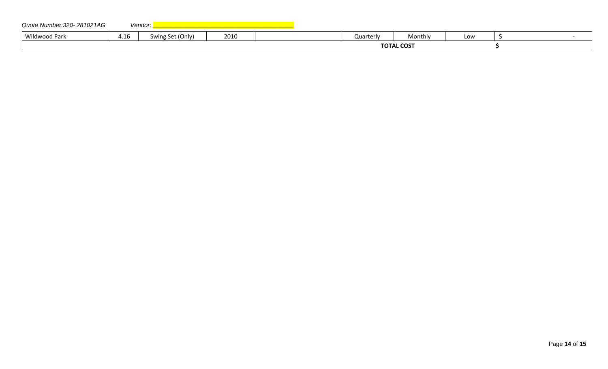| Quote Number: 320-281021AG |      | Vendor:                                      |      |           |                   |     |  |
|----------------------------|------|----------------------------------------------|------|-----------|-------------------|-----|--|
| Wildwood Park              | 4.16 | . Set (Only)<br>$\sum_{i=1}^{n}$<br>J VV I I | 2010 | Quarterly | Monthly           | Low |  |
|                            |      |                                              |      |           | <b>TOTAL COST</b> |     |  |